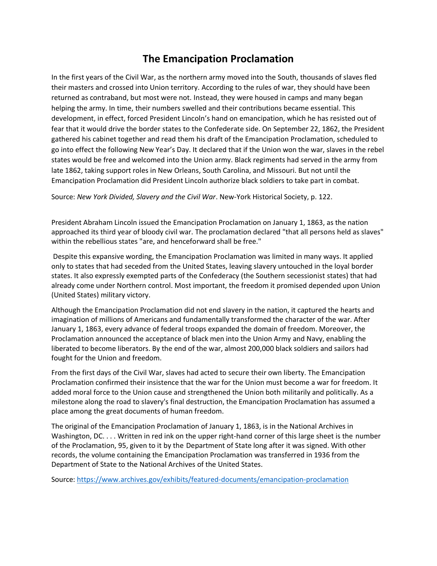## **The Emancipation Proclamation**

In the first years of the Civil War, as the northern army moved into the South, thousands of slaves fled their masters and crossed into Union territory. According to the rules of war, they should have been returned as contraband, but most were not. Instead, they were housed in camps and many began helping the army. In time, their numbers swelled and their contributions became essential. This development, in effect, forced President Lincoln's hand on emancipation, which he has resisted out of fear that it would drive the border states to the Confederate side. On September 22, 1862, the President gathered his cabinet together and read them his draft of the Emancipation Proclamation, scheduled to go into effect the following New Year's Day. It declared that if the Union won the war, slaves in the rebel states would be free and welcomed into the Union army. Black regiments had served in the army from late 1862, taking support roles in New Orleans, South Carolina, and Missouri. But not until the Emancipation Proclamation did President Lincoln authorize black soldiers to take part in combat.

Source: *New York Divided, Slavery and the Civil War*. New-York Historical Society, p. 122.

President Abraham Lincoln issued the [Emancipation Proclamation](https://catalog.archives.gov/id/299998?q=Emancipation%20Proclamation#.Vflu0VtrT7w.link) on January 1, 1863, as the nation approached its third year of bloody civil war. The proclamation declared "that all persons held as slaves" within the rebellious states "are, and henceforward shall be free."

Despite this expansive wording, the Emancipation Proclamation was limited in many ways. It applied only to states that had seceded from the United States, leaving slavery untouched in the loyal border states. It also expressly exempted parts of the Confederacy (the Southern secessionist states) that had already come under Northern control. Most important, the freedom it promised depended upon Union (United States) military victory.

Although the Emancipation Proclamation did not end slavery in the nation, it captured the hearts and imagination of millions of Americans and fundamentally transformed the character of the war. After January 1, 1863, every advance of federal troops expanded the domain of freedom. Moreover, the Proclamation announced the acceptance of black men into the Union Army and Navy, enabling the liberated to become liberators. By the end of the war, almost 200,000 black soldiers and sailors had fought for the Union and freedom.

From the first days of the Civil War, slaves had acted to secure their own liberty. The Emancipation Proclamation confirmed their insistence that the war for the Union must become a war for freedom. It added moral force to the Union cause and strengthened the Union both militarily and politically. As a milestone along the road to slavery's final destruction, the Emancipation Proclamation has assumed a place among the great documents of human freedom.

The original of the Emancipation Proclamation of January 1, 1863, is in the National Archives in Washington, DC. . . . Written in red ink on the upper right-hand corner of this large sheet is the number of the Proclamation, 95, given to it by the Department of State long after it was signed. With other records, the volume containing the Emancipation Proclamation was transferred in 1936 from the Department of State to the National Archives of the United States.

Source:<https://www.archives.gov/exhibits/featured-documents/emancipation-proclamation>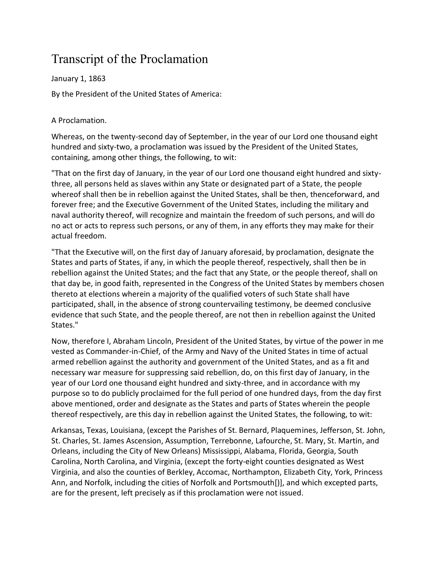## Transcript of the Proclamation

January 1, 1863

By the President of the United States of America:

## A Proclamation.

Whereas, on the twenty-second day of September, in the year of our Lord one thousand eight hundred and sixty-two, a proclamation was issued by the President of the United States, containing, among other things, the following, to wit:

"That on the first day of January, in the year of our Lord one thousand eight hundred and sixtythree, all persons held as slaves within any State or designated part of a State, the people whereof shall then be in rebellion against the United States, shall be then, thenceforward, and forever free; and the Executive Government of the United States, including the military and naval authority thereof, will recognize and maintain the freedom of such persons, and will do no act or acts to repress such persons, or any of them, in any efforts they may make for their actual freedom.

"That the Executive will, on the first day of January aforesaid, by proclamation, designate the States and parts of States, if any, in which the people thereof, respectively, shall then be in rebellion against the United States; and the fact that any State, or the people thereof, shall on that day be, in good faith, represented in the Congress of the United States by members chosen thereto at elections wherein a majority of the qualified voters of such State shall have participated, shall, in the absence of strong countervailing testimony, be deemed conclusive evidence that such State, and the people thereof, are not then in rebellion against the United States."

Now, therefore I, Abraham Lincoln, President of the United States, by virtue of the power in me vested as Commander-in-Chief, of the Army and Navy of the United States in time of actual armed rebellion against the authority and government of the United States, and as a fit and necessary war measure for suppressing said rebellion, do, on this first day of January, in the year of our Lord one thousand eight hundred and sixty-three, and in accordance with my purpose so to do publicly proclaimed for the full period of one hundred days, from the day first above mentioned, order and designate as the States and parts of States wherein the people thereof respectively, are this day in rebellion against the United States, the following, to wit:

Arkansas, Texas, Louisiana, (except the Parishes of St. Bernard, Plaquemines, Jefferson, St. John, St. Charles, St. James Ascension, Assumption, Terrebonne, Lafourche, St. Mary, St. Martin, and Orleans, including the City of New Orleans) Mississippi, Alabama, Florida, Georgia, South Carolina, North Carolina, and Virginia, (except the forty-eight counties designated as West Virginia, and also the counties of Berkley, Accomac, Northampton, Elizabeth City, York, Princess Ann, and Norfolk, including the cities of Norfolk and Portsmouth[)], and which excepted parts, are for the present, left precisely as if this proclamation were not issued.